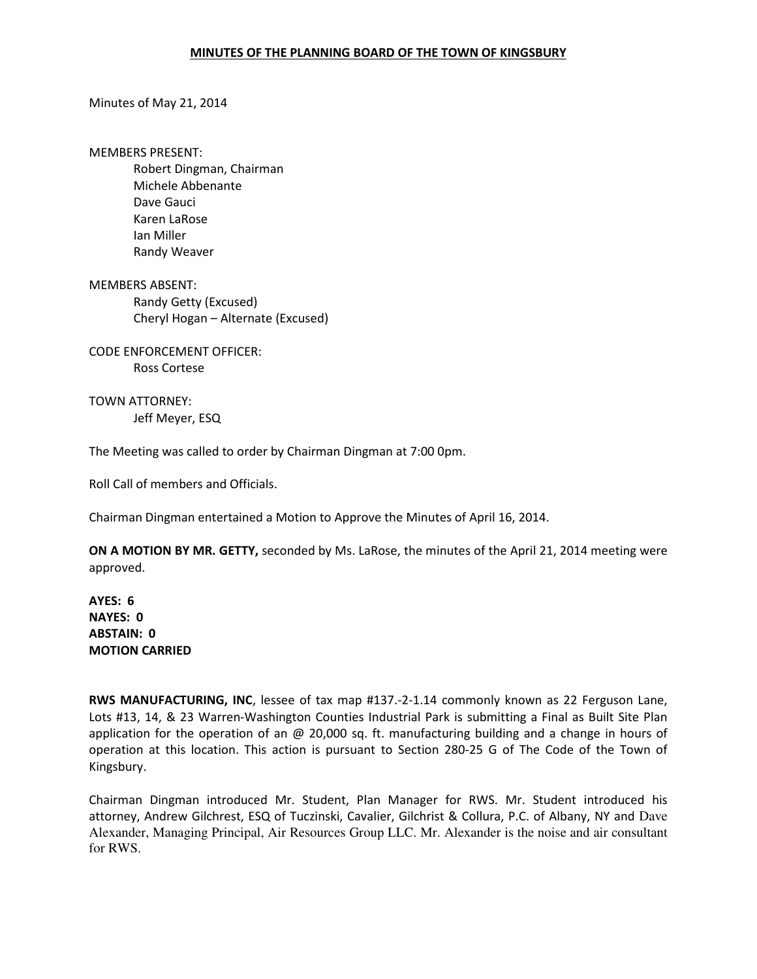## MINUTES OF THE PLANNING BOARD OF THE TOWN OF KINGSBURY

## Minutes of May 21, 2014

MEMBERS PRESENT:

 Robert Dingman, Chairman Michele Abbenante Dave Gauci Karen LaRose Ian Miller Randy Weaver

MEMBERS ABSENT: Randy Getty (Excused) Cheryl Hogan – Alternate (Excused)

CODE ENFORCEMENT OFFICER: Ross Cortese

TOWN ATTORNEY: Jeff Meyer, ESQ

The Meeting was called to order by Chairman Dingman at 7:00 0pm.

Roll Call of members and Officials.

Chairman Dingman entertained a Motion to Approve the Minutes of April 16, 2014.

ON A MOTION BY MR. GETTY, seconded by Ms. LaRose, the minutes of the April 21, 2014 meeting were approved.

AYES: 6 NAYES: 0 ABSTAIN: 0 MOTION CARRIED

RWS MANUFACTURING, INC, lessee of tax map #137.-2-1.14 commonly known as 22 Ferguson Lane, Lots #13, 14, & 23 Warren-Washington Counties Industrial Park is submitting a Final as Built Site Plan application for the operation of an @ 20,000 sq. ft. manufacturing building and a change in hours of operation at this location. This action is pursuant to Section 280-25 G of The Code of the Town of Kingsbury.

Chairman Dingman introduced Mr. Student, Plan Manager for RWS. Mr. Student introduced his attorney, Andrew Gilchrest, ESQ of Tuczinski, Cavalier, Gilchrist & Collura, P.C. of Albany, NY and Dave Alexander, Managing Principal, Air Resources Group LLC. Mr. Alexander is the noise and air consultant for RWS.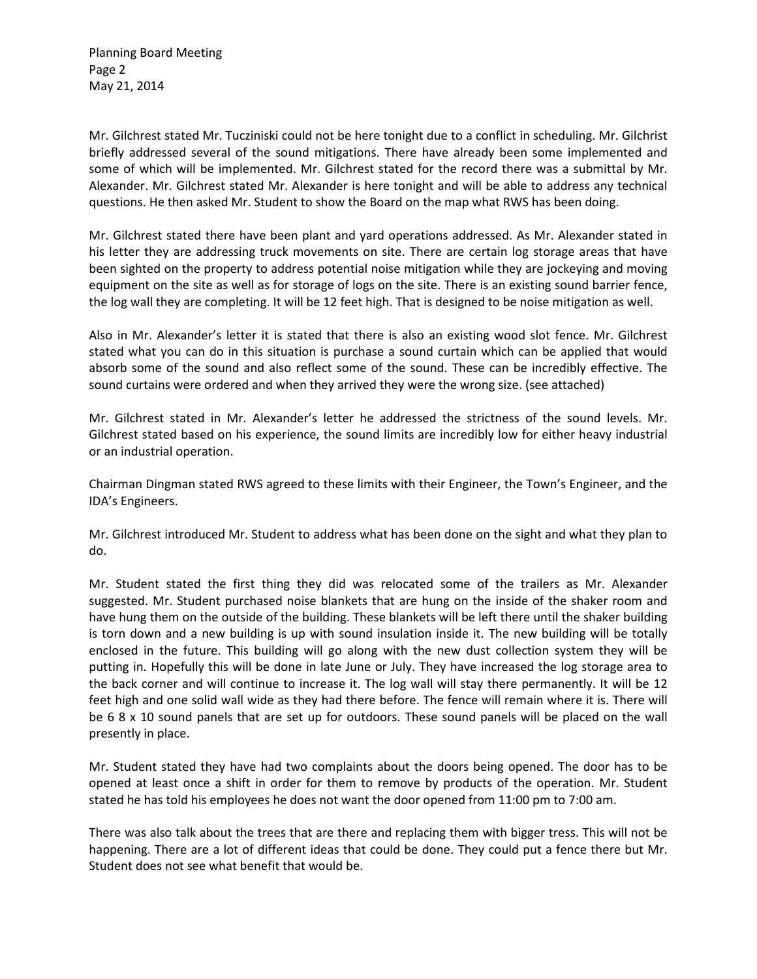Planning Board Meeting Page 2 May 21, 2014

Mr. Gilchrest stated Mr. Tucziniski could not be here tonight due to a conflict in scheduling. Mr. Gilchrist briefly addressed several of the sound mitigations. There have already been some implemented and some of which will be implemented. Mr. Gilchrest stated for the record there was a submittal by Mr. Alexander. Mr. Gilchrest stated Mr. Alexander is here tonight and will be able to address any technical questions. He then asked Mr. Student to show the Board on the map what RWS has been doing.

Mr. Gilchrest stated there have been plant and yard operations addressed. As Mr. Alexander stated in his letter they are addressing truck movements on site. There are certain log storage areas that have been sighted on the property to address potential noise mitigation while they are jockeying and moving equipment on the site as well as for storage of logs on the site. There is an existing sound barrier fence, the log wall they are completing. It will be 12 feet high. That is designed to be noise mitigation as well.

Also in Mr. Alexander's letter it is stated that there is also an existing wood slot fence. Mr. Gilchrest stated what you can do in this situation is purchase a sound curtain which can be applied that would absorb some of the sound and also reflect some of the sound. These can be incredibly effective. The sound curtains were ordered and when they arrived they were the wrong size. (see attached)

Mr. Gilchrest stated in Mr. Alexander's letter he addressed the strictness of the sound levels. Mr. Gilchrest stated based on his experience, the sound limits are incredibly low for either heavy industrial or an industrial operation.

Chairman Dingman stated RWS agreed to these limits with their Engineer, the Town's Engineer, and the IDA's Engineers.

Mr. Gilchrest introduced Mr. Student to address what has been done on the sight and what they plan to do.

Mr. Student stated the first thing they did was relocated some of the trailers as Mr. Alexander suggested. Mr. Student purchased noise blankets that are hung on the inside of the shaker room and have hung them on the outside of the building. These blankets will be left there until the shaker building is torn down and a new building is up with sound insulation inside it. The new building will be totally enclosed in the future. This building will go along with the new dust collection system they will be putting in. Hopefully this will be done in late June or July. They have increased the log storage area to the back corner and will continue to increase it. The log wall will stay there permanently. It will be 12 feet high and one solid wall wide as they had there before. The fence will remain where it is. There will be 6 8 x 10 sound panels that are set up for outdoors. These sound panels will be placed on the wall presently in place.

Mr. Student stated they have had two complaints about the doors being opened. The door has to be opened at least once a shift in order for them to remove by products of the operation. Mr. Student stated he has told his employees he does not want the door opened from 11:00 pm to 7:00 am.

There was also talk about the trees that are there and replacing them with bigger tress. This will not be happening. There are a lot of different ideas that could be done. They could put a fence there but Mr. Student does not see what benefit that would be.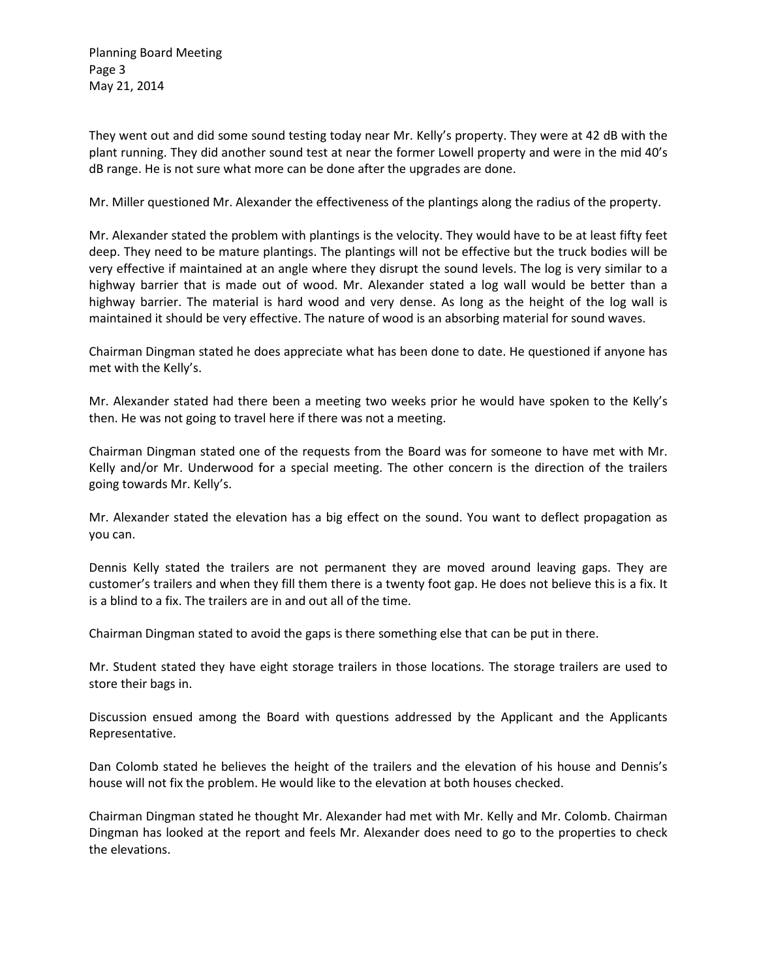Planning Board Meeting Page 3 May 21, 2014

They went out and did some sound testing today near Mr. Kelly's property. They were at 42 dB with the plant running. They did another sound test at near the former Lowell property and were in the mid 40's dB range. He is not sure what more can be done after the upgrades are done.

Mr. Miller questioned Mr. Alexander the effectiveness of the plantings along the radius of the property.

Mr. Alexander stated the problem with plantings is the velocity. They would have to be at least fifty feet deep. They need to be mature plantings. The plantings will not be effective but the truck bodies will be very effective if maintained at an angle where they disrupt the sound levels. The log is very similar to a highway barrier that is made out of wood. Mr. Alexander stated a log wall would be better than a highway barrier. The material is hard wood and very dense. As long as the height of the log wall is maintained it should be very effective. The nature of wood is an absorbing material for sound waves.

Chairman Dingman stated he does appreciate what has been done to date. He questioned if anyone has met with the Kelly's.

Mr. Alexander stated had there been a meeting two weeks prior he would have spoken to the Kelly's then. He was not going to travel here if there was not a meeting.

Chairman Dingman stated one of the requests from the Board was for someone to have met with Mr. Kelly and/or Mr. Underwood for a special meeting. The other concern is the direction of the trailers going towards Mr. Kelly's.

Mr. Alexander stated the elevation has a big effect on the sound. You want to deflect propagation as you can.

Dennis Kelly stated the trailers are not permanent they are moved around leaving gaps. They are customer's trailers and when they fill them there is a twenty foot gap. He does not believe this is a fix. It is a blind to a fix. The trailers are in and out all of the time.

Chairman Dingman stated to avoid the gaps is there something else that can be put in there.

Mr. Student stated they have eight storage trailers in those locations. The storage trailers are used to store their bags in.

Discussion ensued among the Board with questions addressed by the Applicant and the Applicants Representative.

Dan Colomb stated he believes the height of the trailers and the elevation of his house and Dennis's house will not fix the problem. He would like to the elevation at both houses checked.

Chairman Dingman stated he thought Mr. Alexander had met with Mr. Kelly and Mr. Colomb. Chairman Dingman has looked at the report and feels Mr. Alexander does need to go to the properties to check the elevations.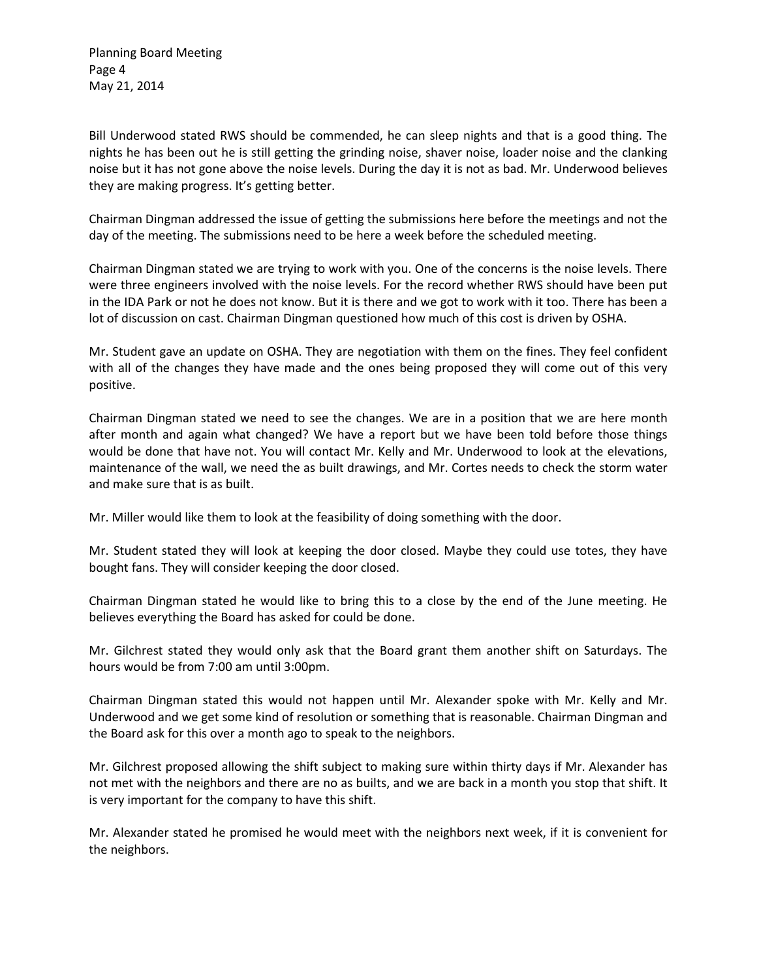Planning Board Meeting Page 4 May 21, 2014

Bill Underwood stated RWS should be commended, he can sleep nights and that is a good thing. The nights he has been out he is still getting the grinding noise, shaver noise, loader noise and the clanking noise but it has not gone above the noise levels. During the day it is not as bad. Mr. Underwood believes they are making progress. It's getting better.

Chairman Dingman addressed the issue of getting the submissions here before the meetings and not the day of the meeting. The submissions need to be here a week before the scheduled meeting.

Chairman Dingman stated we are trying to work with you. One of the concerns is the noise levels. There were three engineers involved with the noise levels. For the record whether RWS should have been put in the IDA Park or not he does not know. But it is there and we got to work with it too. There has been a lot of discussion on cast. Chairman Dingman questioned how much of this cost is driven by OSHA.

Mr. Student gave an update on OSHA. They are negotiation with them on the fines. They feel confident with all of the changes they have made and the ones being proposed they will come out of this very positive.

Chairman Dingman stated we need to see the changes. We are in a position that we are here month after month and again what changed? We have a report but we have been told before those things would be done that have not. You will contact Mr. Kelly and Mr. Underwood to look at the elevations, maintenance of the wall, we need the as built drawings, and Mr. Cortes needs to check the storm water and make sure that is as built.

Mr. Miller would like them to look at the feasibility of doing something with the door.

Mr. Student stated they will look at keeping the door closed. Maybe they could use totes, they have bought fans. They will consider keeping the door closed.

Chairman Dingman stated he would like to bring this to a close by the end of the June meeting. He believes everything the Board has asked for could be done.

Mr. Gilchrest stated they would only ask that the Board grant them another shift on Saturdays. The hours would be from 7:00 am until 3:00pm.

Chairman Dingman stated this would not happen until Mr. Alexander spoke with Mr. Kelly and Mr. Underwood and we get some kind of resolution or something that is reasonable. Chairman Dingman and the Board ask for this over a month ago to speak to the neighbors.

Mr. Gilchrest proposed allowing the shift subject to making sure within thirty days if Mr. Alexander has not met with the neighbors and there are no as builts, and we are back in a month you stop that shift. It is very important for the company to have this shift.

Mr. Alexander stated he promised he would meet with the neighbors next week, if it is convenient for the neighbors.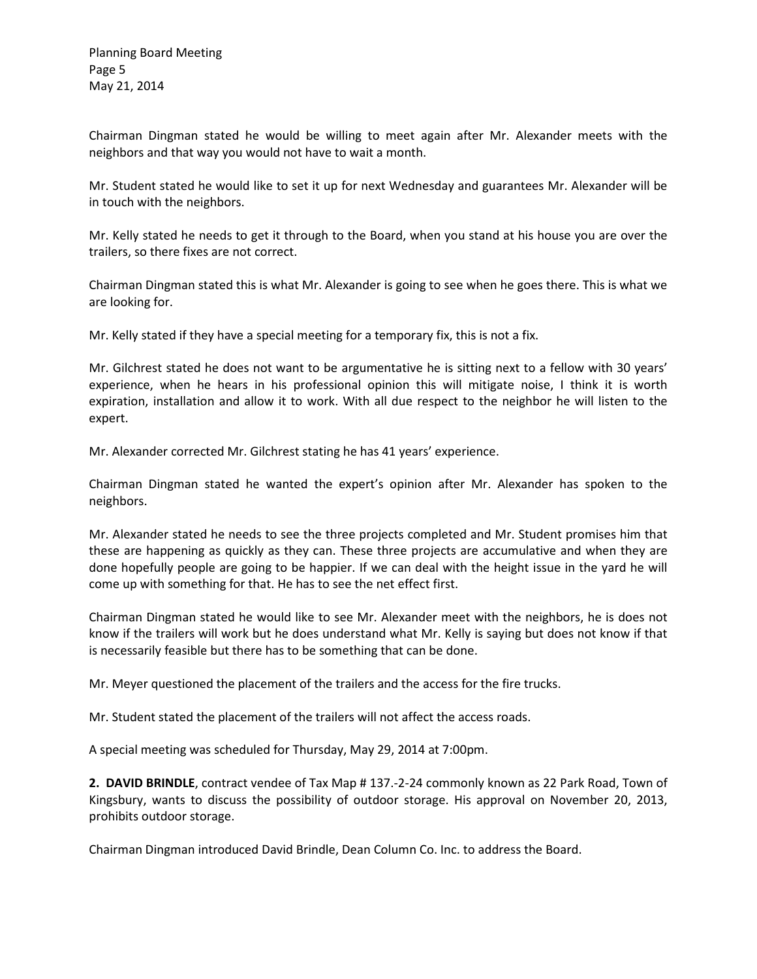Chairman Dingman stated he would be willing to meet again after Mr. Alexander meets with the neighbors and that way you would not have to wait a month.

Mr. Student stated he would like to set it up for next Wednesday and guarantees Mr. Alexander will be in touch with the neighbors.

Mr. Kelly stated he needs to get it through to the Board, when you stand at his house you are over the trailers, so there fixes are not correct.

Chairman Dingman stated this is what Mr. Alexander is going to see when he goes there. This is what we are looking for.

Mr. Kelly stated if they have a special meeting for a temporary fix, this is not a fix.

Mr. Gilchrest stated he does not want to be argumentative he is sitting next to a fellow with 30 years' experience, when he hears in his professional opinion this will mitigate noise, I think it is worth expiration, installation and allow it to work. With all due respect to the neighbor he will listen to the expert.

Mr. Alexander corrected Mr. Gilchrest stating he has 41 years' experience.

Chairman Dingman stated he wanted the expert's opinion after Mr. Alexander has spoken to the neighbors.

Mr. Alexander stated he needs to see the three projects completed and Mr. Student promises him that these are happening as quickly as they can. These three projects are accumulative and when they are done hopefully people are going to be happier. If we can deal with the height issue in the yard he will come up with something for that. He has to see the net effect first.

Chairman Dingman stated he would like to see Mr. Alexander meet with the neighbors, he is does not know if the trailers will work but he does understand what Mr. Kelly is saying but does not know if that is necessarily feasible but there has to be something that can be done.

Mr. Meyer questioned the placement of the trailers and the access for the fire trucks.

Mr. Student stated the placement of the trailers will not affect the access roads.

A special meeting was scheduled for Thursday, May 29, 2014 at 7:00pm.

2. DAVID BRINDLE, contract vendee of Tax Map # 137.-2-24 commonly known as 22 Park Road, Town of Kingsbury, wants to discuss the possibility of outdoor storage. His approval on November 20, 2013, prohibits outdoor storage.

Chairman Dingman introduced David Brindle, Dean Column Co. Inc. to address the Board.